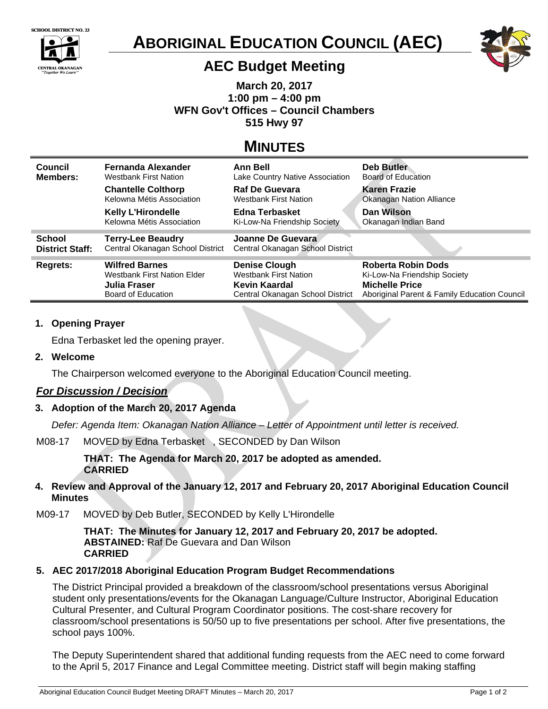



# **ABORIGINAL EDUCATION COUNCIL (AEC)**



## **AEC Budget Meeting**

**March 20, 2017 1:00 pm – 4:00 pm WFN Gov't Offices – Council Chambers 515 Hwy 97** 

# **MINUTES**

| Council<br><b>Members:</b> | Fernanda Alexander<br><b>Westbank First Nation</b>     | <b>Ann Bell</b><br>Lake Country Native Association    | <b>Deb Butler</b><br>Board of Education      |
|----------------------------|--------------------------------------------------------|-------------------------------------------------------|----------------------------------------------|
|                            | <b>Chantelle Colthorp</b><br>Kelowna Métis Association | <b>Raf De Guevara</b><br><b>Westbank First Nation</b> | Karen Frazie<br>Okanagan Nation Alliance     |
|                            | <b>Kelly L'Hirondelle</b><br>Kelowna Métis Association | Edna Terbasket<br>Ki-Low-Na Friendship Society        | Dan Wilson<br>Okanagan Indian Band           |
| <b>School</b>              | <b>Terry-Lee Beaudry</b>                               | Joanne De Guevara                                     |                                              |
| <b>District Staff:</b>     | Central Okanagan School District                       | Central Okanagan School District                      |                                              |
| <b>Regrets:</b>            | <b>Wilfred Barnes</b>                                  | <b>Denise Clough</b>                                  | Roberta Robin Dods                           |
|                            | <b>Westbank First Nation Elder</b>                     | <b>Westbank First Nation</b>                          | Ki-Low-Na Friendship Society                 |
|                            | Julia Fraser                                           | Kevin Kaardal                                         | <b>Michelle Price</b>                        |
|                            | Board of Education                                     | Central Okanagan School District                      | Aboriginal Parent & Family Education Council |

### **1. Opening Prayer**

Edna Terbasket led the opening prayer.

### **2. Welcome**

The Chairperson welcomed everyone to the Aboriginal Education Council meeting.

### *For Discussion / Decision*

### **3. Adoption of the March 20, 2017 Agenda**

*Defer: Agenda Item: Okanagan Nation Alliance – Letter of Appointment until letter is received.* 

#### M08-17MOVED by Edna Terbasket , SECONDED by Dan Wilson

**THAT: The Agenda for March 20, 2017 be adopted as amended. CARRIED** 

#### **4. Review and Approval of the January 12, 2017 and February 20, 2017 Aboriginal Education Council Minutes**

M09-17MOVED by Deb Butler, SECONDED by Kelly L'Hirondelle

**THAT: The Minutes for January 12, 2017 and February 20, 2017 be adopted. ABSTAINED:** Raf De Guevara and Dan Wilson **CARRIED** 

### **5. AEC 2017/2018 Aboriginal Education Program Budget Recommendations**

The District Principal provided a breakdown of the classroom/school presentations versus Aboriginal student only presentations/events for the Okanagan Language/Culture Instructor, Aboriginal Education Cultural Presenter, and Cultural Program Coordinator positions. The cost-share recovery for classroom/school presentations is 50/50 up to five presentations per school. After five presentations, the school pays 100%.

The Deputy Superintendent shared that additional funding requests from the AEC need to come forward to the April 5, 2017 Finance and Legal Committee meeting. District staff will begin making staffing